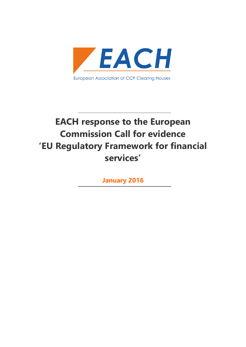

**January 2016**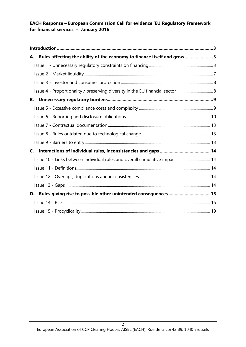| Rules affecting the ability of the economy to finance itself and grow3<br>А. |  |
|------------------------------------------------------------------------------|--|
|                                                                              |  |
|                                                                              |  |
|                                                                              |  |
|                                                                              |  |
| В.                                                                           |  |
|                                                                              |  |
|                                                                              |  |
|                                                                              |  |
|                                                                              |  |
|                                                                              |  |
| C.                                                                           |  |
| Issue 10 - Links between individual rules and overall cumulative impact 14   |  |
|                                                                              |  |
|                                                                              |  |
|                                                                              |  |
| Rules giving rise to possible other unintended consequences 15<br>D.         |  |
|                                                                              |  |
|                                                                              |  |

 $\overline{2}$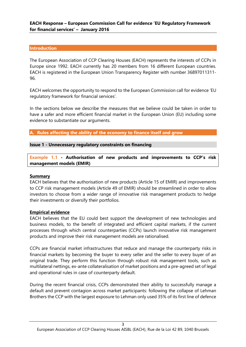#### <span id="page-2-0"></span>**Introduction**

The European Association of CCP Clearing Houses (EACH) represents the interests of CCPs in Europe since 1992. EACH currently has 20 members from 16 different European countries. EACH is registered in the European Union Transparency Register with number 36897011311- 96.

EACH welcomes the opportunity to respond to the European Commission call for evidence 'EU regulatory framework for financial services'.

In the sections below we describe the measures that we believe could be taken in order to have a safer and more efficient financial market in the European Union (EU) including some evidence to substantiate our arguments.

<span id="page-2-1"></span>**A. Rules affecting the ability of the economy to finance itself and grow**

#### <span id="page-2-2"></span>**Issue 1 - Unnecessary regulatory constraints on financing**

**Example 1.1 - Authorisation of new products and improvements to CCP's risk management models (EMIR)**

#### **Summary**

EACH believes that the authorisation of new products (Article 15 of EMIR) and improvements to CCP risk management models (Article 49 of EMIR) should be streamlined in order to allow investors to choose from a wider range of innovative risk management products to hedge their investments or diversify their portfolios.

#### **Empirical evidence**

EACH believes that the EU could best support the development of new technologies and business models, to the benefit of integrated and efficient capital markets, if the current processes through which central counterparties (CCPs) launch innovative risk management products and improve their risk management models are rationalised.

CCPs are financial market infrastructures that reduce and manage the counterparty risks in financial markets by becoming the buyer to every seller and the seller to every buyer of an original trade. They perform this function through robust risk management tools, such as multilateral nettings, ex-ante collateralisation of market positions and a pre-agreed set of legal and operational rules in case of counterparty default.

During the recent financial crisis, CCPs demonstrated their ability to successfully manage a default and prevent contagion across market participants: following the collapse of Lehman Brothers the CCP with the largest exposure to Lehman only used 35% of its first line of defence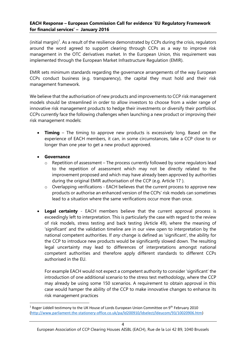$(i$ nitial margin)<sup>1</sup>. As a result of the resilience demonstrated by CCPs during the crisis, regulators around the word agreed to support clearing through CCPs as a way to improve risk management in the OTC derivatives market. In the European Union, this requirement was implemented through the European Market Infrastructure Regulation (EMIR).

EMIR sets minimum standards regarding the governance arrangements of the way European CCPs conduct business (e.g. transparency), the capital they must hold and their risk management framework.

We believe that the authorisation of new products and improvements to CCP risk management models should be streamlined in order to allow investors to choose from a wider range of innovative risk management products to hedge their investments or diversify their portfolios. CCPs currently face the following challenges when launching a new product or improving their risk management models:

- **Timing** The timing to approve new products is excessively long. Based on the experience of EACH members, it can, in some circumstances, take a CCP close to or longer than one year to get a new product approved.
- **Governance**

**.** 

- $\circ$  Repetition of assessment The process currently followed by some regulators lead to the repetition of assessment which may not be directly related to the improvement proposed and which may have already been approved by authorities during the original EMIR authorisation of the CCP (e.g. Article 17 ).
- o Overlapping verifications EACH believes that the current process to approve new products or authorise an enhanced version of the CCPs' risk models can sometimes lead to a situation where the same verifications occur more than once.
- **Legal certainty** EACH members believe that the current approval process is exceedingly left to interpretation. This is particularly the case with regard to the review of risk models, stress testing and back testing (Article 49), where the meaning of 'significant' and the validation timeline are in our view open to interpretation by the national competent authorities. If *any* change is defined as 'significant', the ability for the CCP to introduce new products would be significantly slowed down. The resulting legal uncertainty may lead to differences of interpretations amongst national competent authorities and therefore apply different standards to different CCPs authorised in the EU.

For example EACH would not expect a competent authority to consider 'significant' the introduction of one additional scenario to the stress test methodology, where the CCP may already be using some 150 scenarios. A requirement to obtain approval in this case would hamper the ability of the CCP to make innovative changes to enhance its risk management practices

<sup>&</sup>lt;sup>1</sup> Roger Liddell testimony to the UK House of Lords European Union Committee on 9<sup>th</sup> February 2010 [\(http://www.parliament.the-stationery-office.co.uk/pa/ld200910/ldselect/ldeucom/93/10020906.htm\)](http://www.parliament.the-stationery-office.co.uk/pa/ld200910/ldselect/ldeucom/93/10020906.htm)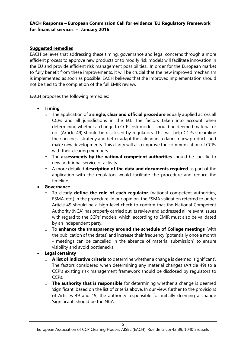# **Suggested remedies**

EACH believes that addressing these timing, governance and legal concerns through a more efficient process to approve new products or to modify risk models will facilitate innovation in the EU and provide efficient risk management possibilities.. In order for the European market to fully benefit from these improvements, it will be crucial that the new improved mechanism is implemented as soon as possible. EACH believes that the improved implementation should not be tied to the completion of the full EMIR review.

EACH proposes the following remedies:

- **Timing**
	- o The application of a **single, clear and official procedure** equally applied across all CCPs and all jurisdictions in the EU. The factors taken into account when determining whether a change to CCPs risk models should be deemed material or not (Article 49) should be disclosed by regulators. This will help CCPs streamline their business strategy and better adapt the calendars to launch new products and make new developments. This clarity will also improve the communication of CCPs with their clearing members.
	- o The **assessments by the national competent authorities** should be specific to new additional service or activity.
	- o A more detailed **description of the data and documents required** as part of the application with the regulators would facilitate the procedure and reduce the timeline.
- **Governance**
	- o To clearly **define the role of each regulator** (national competent authorities, ESMA, etc.) in the procedure. In our opinion, the ESMA validation referred to under Article 49 should be a high-level check to confirm that the National Competent Authority (NCA) has properly carried out its review and addressed all relevant issues with regard to the CCPs' models, which, according to EMIR must also be validated by an independent party.
	- o To **enhance the transparency around the schedule of College meetings** (with the publication of the dates) and increase their frequency (potentially once a month - meetings can be cancelled in the absence of material submission) to ensure visibility and avoid bottlenecks.
- **Legal certainty**
	- o **A list of indicative criteria** to determine whether a change is deemed 'significant'. The factors considered when determining any material changes (Article 49) to a CCP's existing risk management framework should be disclosed by regulators to CCPs.
	- o **The authority that is responsible** for determining whether a change is deemed 'significant' based on the list of criteria above. In our view, further to the provisions of Articles 49 and 19, the authority responsible for initially deeming a change 'significant' should be the NCA.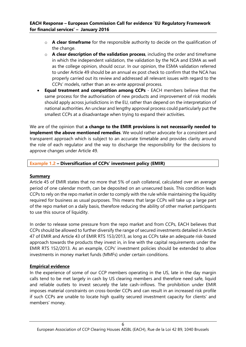- o **A clear timeframe** for the responsible authority to decide on the qualification of the change.
- o **A clear description of the validation process**, including the order and timeframe in which the independent validation, the validation by the NCA and ESMA as well as the college opinion, should occur. In our opinion, the ESMA validation referred to under Article 49 should be an annual ex post check to confirm that the NCA has properly carried out its review and addressed all relevant issues with regard to the CCPs' models, rather than an ex-ante approval process.
- **Equal treatment and competition among CCPs**  EACH members believe that the same process for the authorisation of new products and improvement of risk models should apply across jurisdictions in the EU, rather than depend on the interpretation of national authorities. An unclear and lengthy approval process could particularly put the smallest CCPs at a disadvantage when trying to expand their activities.

We are of the opinion that **a change to the EMIR provisions is not necessarily needed to implement the above mentioned remedies**. We would rather advocate for a consistent and transparent approach which is subject to an accurate timetable and provides clarity around the role of each regulator and the way to discharge the responsibility for the decisions to approve changes under Article 49.

# **Example 1.2 – Diversification of CCPs' investment policy (EMIR)**

# **Summary**

Article 45 of EMIR states that no more that 5% of cash collateral, calculated over an average period of one calendar month, can be deposited on an unsecured basis. This condition leads CCPs to rely on the repo market in order to comply with the rule while maintaining the liquidity required for business as usual purposes. This means that large CCPs will take up a large part of the repo market on a daily basis, therefore reducing the ability of other market participants to use this source of liquidity.

In order to release some pressure from the repo market and from CCPs, EACH believes that CCPs should be allowed to further diversify the range of secured investments detailed in Article 47 of EMIR and Article 43 of EMIR RTS 153/2013, as long as CCPs take an adequate risk-based approach towards the products they invest in, in line with the capital requirements under the EMIR RTS 152/2013. As an example, CCPs' investment policies should be extended to allow investments in money market funds (MMFs) under certain conditions.

# **Empirical evidence**

In the experience of some of our CCP members operating in the US, late in the day margin calls tend to be met largely in cash by US clearing members and therefore need safe, liquid and reliable outlets to invest securely the late cash-inflows. The prohibition under EMIR imposes material constraints on cross-border CCPs and can result in an increased risk profile if such CCPs are unable to locate high quality secured investment capacity for clients' and members' money.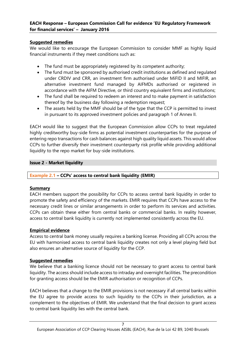# **Suggested remedies**

We would like to encourage the European Commission to consider MMF as highly liquid financial instruments if they meet conditions such as:

- The fund must be appropriately registered by its competent authority;
- The fund must be sponsored by authorised credit institutions as defined and regulated under CRDIV and CRR, an investment firm authorised under MiFID II and MIFIR, an alternative investment fund managed by AIFMDs authorised or registered in accordance with the AIFM Directive, or third country equivalent firms and institutions;
- The fund shall be required to redeem an interest and to make payment in satisfaction thereof by the business day following a redemption request;
- The assets held by the MMF should be of the type that the CCP is permitted to invest in pursuant to its approved investment policies and paragraph 1 of Annex II.

EACH would like to suggest that the European Commission allow CCPs to treat regulated highly creditworthy buy-side firms as potential investment counterparties for the purpose of entering repo transactions for cash balances against high quality liquid assets. This would allow CCPs to further diversify their investment counterparty risk profile while providing additional liquidity to the repo market for buy-side institutions.

# <span id="page-6-0"></span>**Issue 2 - Market liquidity**

# **Example 2.1 – CCPs' access to central bank liquidity (EMIR)**

# **Summary**

EACH members support the possibility for CCPs to access central bank liquidity in order to promote the safety and efficiency of the markets. EMIR requires that CCPs have access to the necessary credit lines or similar arrangements in order to perform its services and activities. CCPs can obtain these either from central banks or commercial banks. In reality however, access to central bank liquidity is currently not implemented consistently across the EU.

# **Empirical evidence**

Access to central bank money usually requires a banking license. Providing all CCPs across the EU with harmonised access to central bank liquidity creates not only a level playing field but also ensures an alternative source of liquidity for the CCP.

# **Suggested remedies**

We believe that a banking licence should not be necessary to grant access to central bank liquidity. The access should include access to intraday and overnight facilities. The precondition for granting access should be the EMIR authorisation or recognition of CCPs.

EACH believes that a change to the EMIR provisions is not necessary if all central banks within the EU agree to provide access to such liquidity to the CCPs in their jurisdiction, as a complement to the objectives of EMIR. We understand that the final decision to grant access to central bank liquidity lies with the central bank.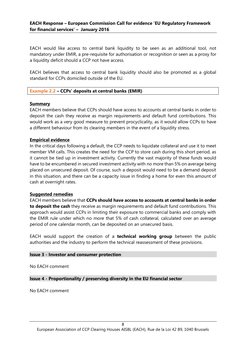EACH would like access to central bank liquidity to be seen as an additional tool, not mandatory under EMIR, a pre-requisite for authorisation or recognition or seen as a proxy for a liquidity deficit should a CCP not have access.

EACH believes that access to central bank liquidity should also be promoted as a global standard for CCPs domiciled outside of the EU.

#### **Example 2.2 – CCPs' deposits at central banks (EMIR)**

#### **Summary**

EACH members believe that CCPs should have access to accounts at central banks in order to deposit the cash they receive as margin requirements and default fund contributions. This would work as a very good measure to prevent procyclicality, as it would allow CCPs to have a different behaviour from its clearing members in the event of a liquidity stress.

#### **Empirical evidence**

In the critical days following a default, the CCP needs to liquidate collateral and use it to meet member VM calls. This creates the need for the CCP to store cash during this short period, as it cannot be tied up in investment activity. Currently the vast majority of these funds would have to be encumbered in secured investment activity with no more than 5% on average being placed on unsecured deposit. Of course, such a deposit would need to be a demand deposit in this situation, and there can be a capacity issue in finding a home for even this amount of cash at overnight rates.

#### **Suggested remedies**

EACH members believe that **CCPs should have access to accounts at central banks in order to deposit the cash** they receive as margin requirements and default fund contributions. This approach would assist CCPs in limiting their exposure to commercial banks and comply with the EMIR rule under which no more that 5% of cash collateral, calculated over an average period of one calendar month, can be deposited on an unsecured basis.

EACH would support the creation of a **technical working group** between the public authorities and the industry to perform the technical reassessment of these provisions.

#### <span id="page-7-0"></span>**Issue 3 - Investor and consumer protection**

No EACH comment

<span id="page-7-1"></span>**Issue 4 - Proportionality / preserving diversity in the EU financial sector**

No EACH comment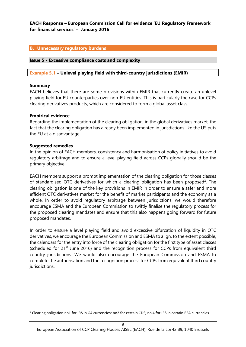#### <span id="page-8-0"></span>**B. Unnecessary regulatory burdens**

#### <span id="page-8-1"></span>**Issue 5 - Excessive compliance costs and complexity**

#### **Example 5.1 – Unlevel playing field with third-country jurisdictions (EMIR)**

#### **Summary**

EACH believes that there are some provisions within EMIR that currently create an unlevel playing field for EU counterparties over non-EU entities. This is particularly the case for CCPs clearing derivatives products, which are considered to form a global asset class.

#### **Empirical evidence**

Regarding the implementation of the clearing obligation, in the global derivatives market, the fact that the clearing obligation has already been implemented in jurisdictions like the US puts the EU at a disadvantage.

## **Suggested remedies**

1

In the opinion of EACH members, consistency and harmonisation of policy initiatives to avoid regulatory arbitrage and to ensure a level playing field across CCPs globally should be the primary objective.

EACH members support a prompt implementation of the clearing obligation for those classes of standardised OTC derivatives for which a clearing obligation has been proposed<sup>2</sup>. The clearing obligation is one of the key provisions in EMIR in order to ensure a safer and more efficient OTC derivatives market for the benefit of market participants and the economy as a whole. In order to avoid regulatory arbitrage between jurisdictions, we would therefore encourage ESMA and the European Commission to swiftly finalise the regulatory process for the proposed clearing mandates and ensure that this also happens going forward for future proposed mandates.

In order to ensure a level playing field and avoid excessive bifurcation of liquidity in OTC derivatives, we encourage the European Commission and ESMA to align, to the extent possible, the calendars for the entry into force of the clearing obligation for the first type of asset classes (scheduled for  $21^{st}$  June 2016) and the recognition process for CCPs from equivalent third country jurisdictions. We would also encourage the European Commission and ESMA to complete the authorisation and the recognition process for CCPs from equivalent third country jurisdictions.

<sup>&</sup>lt;sup>2</sup> Clearing obligation no1 for IRS in G4 currencies; no2 for certain CDS; no 4 for IRS in certain EEA currencies.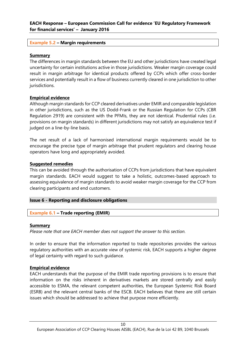# **Example 5.2 – Margin requirements**

#### **Summary**

The differences in margin standards between the EU and other jurisdictions have created legal uncertainty for certain institutions active in those jurisdictions. Weaker margin coverage could result in margin arbitrage for identical products offered by CCPs which offer cross-border services and potentially result in a flow of business currently cleared in one jurisdiction to other jurisdictions.

## **Empirical evidence**

Although margin standards for CCP cleared derivatives under EMIR and comparable legislation in other jurisdictions, such as the US Dodd-Frank or the Russian Regulation for CCPs (CBR Regulation 2919) are consistent with the PFMIs, they are not identical. Prudential rules (i.e. provisions on margin standards) in different jurisdictions may not satisfy an equivalence test if judged on a line-by-line basis.

The net result of a lack of harmonised international margin requirements would be to encourage the precise type of margin arbitrage that prudent regulators and clearing house operators have long and appropriately avoided.

## **Suggested remedies**

This can be avoided through the authorisation of CCPs from jurisdictions that have equivalent margin standards. EACH would suggest to take a holistic, outcomes-based approach to assessing equivalence of margin standards to avoid weaker margin coverage for the CCP from clearing participants and end customers.

# <span id="page-9-0"></span>**Issue 6 - Reporting and disclosure obligations**

# **Example 6.1 – Trade reporting (EMIR)**

#### **Summary**

*Please note that one EACH member does not support the answer to this section.*

In order to ensure that the information reported to trade repositories provides the various regulatory authorities with an accurate view of systemic risk, EACH supports a higher degree of legal certainty with regard to such guidance.

#### **Empirical evidence**

EACH understands that the purpose of the EMIR trade reporting provisions is to ensure that information on the risks inherent in derivatives markets are stored centrally and easily accessible to ESMA, the relevant competent authorities, the European Systemic Risk Board (ESRB) and the relevant central banks of the ESCB. EACH believes that there are still certain issues which should be addressed to achieve that purpose more efficiently.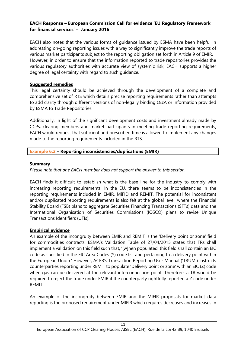EACH also notes that the various forms of guidance issued by ESMA have been helpful in addressing on-going reporting issues with a way to significantly improve the trade reports of various market participants subject to the reporting obligation set forth in Article 9 of EMIR. However, in order to ensure that the information reported to trade repositories provides the various regulatory authorities with accurate view of systemic risk, EACH supports a higher degree of legal certainty with regard to such guidance.

# **Suggested remedies**

This legal certainty should be achieved through the development of a complete and comprehensive set of RTS which details precise reporting requirements rather than attempts to add clarity through different versions of non-legally binding Q&A or information provided by ESMA to Trade Repositories.

Additionally, in light of the significant development costs and investment already made by CCPs, clearing members and market participants in meeting trade reporting requirements, EACH would request that sufficient and prescribed time is allowed to implement any changes made to the reporting requirements included in the RTS.

# **Example 6.2 – Reporting inconsistencies/duplications (EMIR)**

## **Summary**

*Please note that one EACH member does not support the answer to this section.*

EACH finds it difficult to establish what is the base line for the industry to comply with increasing reporting requirements. In the EU, there seems to be inconsistencies in the reporting requirements included in EMIR, MiFID and REMIT. The potential for inconsistent and/or duplicated reporting requirements is also felt at the global level, where the Financial Stability Board (FSB) plans to aggregate Securities Financing Transactions (SFTs) data and the International Organisation of Securities Commissions (IOSCO) plans to revise Unique Transactions Identifiers (UTIs).

# **Empirical evidence**

An example of the incongruity between EMIR and REMIT is the 'Delivery point or zone' field for commodities contracts. ESMA's Validation Table of 27/04/2015 states that TRs shall implement a validation on this field such that, '[w]hen populated, this field shall contain an EIC code as specified in the EIC Area Codes (Y) code list and pertaining to a delivery point within the European Union.' However, ACER's Transaction Reporting User Manual ('TRUM') instructs counterparties reporting under REMIT to populate 'Delivery point or zone' with an EIC (Z) code when gas can be delivered at the relevant interconnection point. Therefore, a TR would be required to reject the trade under EMIR if the counterparty rightfully reported a Z code under REMIT.

An example of the incongruity between EMIR and the MIFIR proposals for market data reporting is the proposed requirement under MIFIR which requires decreases and increases in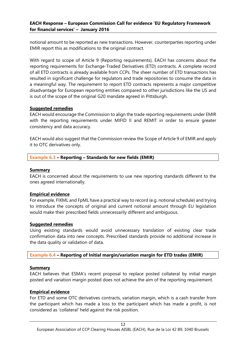notional amount to be reported as new transactions. However, counterparties reporting under EMIR report this as modifications to the original contract.

With regard to scope of Article 9 (Reporting requirements), EACH has concerns about the reporting requirements for Exchange-Traded Derivatives (ETD) contracts. A complete record of all ETD contracts is already available from CCPs. The sheer number of ETD transactions has resulted in significant challenge for regulators and trade repositories to consume the data in a meaningful way. The requirement to report ETD contracts represents a major competitive disadvantage for European reporting entities compared to other jurisdictions like the US and is out of the scope of the original G20 mandate agreed in Pittsburgh.

# **Suggested remedies**

EACH would encourage the Commission to align the trade reporting requirements under EMIR with the reporting requirements under MIFID II and REMIT in order to ensure greater consistency and data accuracy.

EACH would also suggest that the Commission review the Scope of Article 9 of EMIR and apply it to OTC derivatives only.

# **Example 6.3 – Reporting – Standards for new fields (EMIR)**

## **Summary**

EACH is concerned about the requirements to use new reporting standards different to the ones agreed internationally.

# **Empirical evidence**

For example, FIXML and FpML have a practical way to record (e.g. notional schedule) and trying to introduce the concepts of original and current notional amount through EU legislation would make their prescribed fields unnecessarily different and ambiguous.

#### **Suggested remedies**

Using existing standards would avoid unnecessary translation of existing clear trade confirmation data into new concepts. Prescribed standards provide no additional increase in the data quality or validation of data.

# **Example 6.4 – Reporting of Initial margin/variation margin for ETD trades (EMIR)**

#### **Summary**

EACH believes that ESMA's recent proposal to replace posted collateral by initial margin posted and variation margin posted does not achieve the aim of the reporting requirement.

# **Empirical evidence**

For ETD and some OTC derivatives contracts, variation margin, which is a cash transfer from the participant which has made a loss to the participant which has made a profit, is not considered as 'collateral' held against the risk position.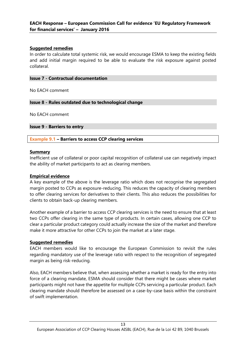## **Suggested remedies**

In order to calculate total systemic risk, we would encourage ESMA to keep the existing fields and add initial margin required to be able to evaluate the risk exposure against posted collateral.

#### <span id="page-12-0"></span>**Issue 7 - Contractual documentation**

No EACH comment

## <span id="page-12-1"></span>**Issue 8 - Rules outdated due to technological change**

No EACH comment

#### <span id="page-12-2"></span>**Issue 9 - Barriers to entry**

**Example 9.1 – Barriers to access CCP clearing services**

#### **Summary**

Inefficient use of collateral or poor capital recognition of collateral use can negatively impact the ability of market participants to act as clearing members.

# **Empirical evidence**

A key example of the above is the leverage ratio which does not recognise the segregated margin posted to CCPs as exposure-reducing. This reduces the capacity of clearing members to offer clearing services for derivatives to their clients. This also reduces the possibilities for clients to obtain back-up clearing members.

Another example of a barrier to access CCP clearing services is the need to ensure that at least two CCPs offer clearing in the same type of products. In certain cases, allowing one CCP to clear a particular product category could actually increase the size of the market and therefore make it more attractive for other CCPs to join the market at a later stage.

#### **Suggested remedies**

EACH members would like to encourage the European Commission to revisit the rules regarding mandatory use of the leverage ratio with respect to the recognition of segregated margin as being risk-reducing.

Also, EACH members believe that, when assessing whether a market is ready for the entry into force of a clearing mandate, ESMA should consider that there might be cases where market participants might not have the appetite for multiple CCPs servicing a particular product. Each clearing mandate should therefore be assessed on a case-by-case basis within the constraint of swift implementation.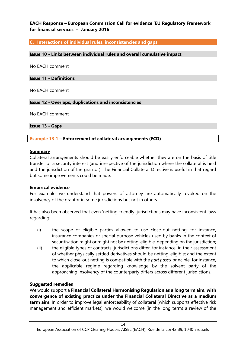#### <span id="page-13-0"></span>**C. Interactions of individual rules, inconsistencies and gaps**

#### <span id="page-13-1"></span>**Issue 10 - Links between individual rules and overall cumulative impact**

No EACH comment

#### <span id="page-13-2"></span>**Issue 11 - Definitions**

No EACH comment

#### <span id="page-13-3"></span>**Issue 12 - Overlaps, duplications and inconsistencies**

No EACH comment

<span id="page-13-4"></span>**Issue 13 - Gaps**

**Example 13.1 – Enforcement of collateral arrangements (FCD)**

#### **Summary**

Collateral arrangements should be easily enforceable whether they are on the basis of title transfer or a security interest (and irrespective of the jurisdiction where the collateral is held and the jurisdiction of the grantor). The Financial Collateral Directive is useful in that regard but some improvements could be made.

#### **Empirical evidence**

For example, we understand that powers of attorney are automatically revoked on the insolvency of the grantor in some jurisdictions but not in others.

It has also been observed that even 'netting-friendly' jurisdictions may have inconsistent laws regarding:

- (i) the scope of eligible parties allowed to use close-out netting: for instance, insurance companies or special purpose vehicles used by banks in the context of securitisation might or might not be netting-eligible, depending on the jurisdiction;
- (ii) the eligible types of contracts: jurisdictions differ, for instance, in their assessment of whether physically settled derivatives should be netting-eligible; and the extent to which close-out netting is compatible with the *pari passu* principle: for instance, the applicable regime regarding knowledge by the solvent party of the approaching insolvency of the counterparty differs across different jurisdictions.

#### **Suggested remedies**

We would support a **Financial Collateral Harmonising Regulation as a long term aim, with convergence of existing practice under the Financial Collateral Directive as a medium term aim**. In order to improve legal enforceability of collateral (which supports effective risk management and efficient markets), we would welcome (in the long term) a review of the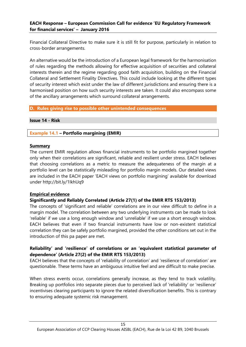Financial Collateral Directive to make sure it is still fit for purpose, particularly in relation to cross-border arrangements.

An alternative would be the introduction of a European legal framework for the harmonisation of rules regarding the methods allowing for effective acquisition of securities and collateral interests therein and the regime regarding good faith acquisition, building on the Financial Collateral and Settlement Finality Directives. This could include looking at the different types of security interest which exist under the law of different jurisdictions and ensuring there is a harmonised position on how such security interests are taken. It could also encompass some of the ancillary arrangements which surround collateral arrangements.

# <span id="page-14-0"></span>**D. Rules giving rise to possible other unintended consequences**

#### <span id="page-14-1"></span>**Issue 14 - Risk**

## **Example 14.1 – Portfolio margining (EMIR)**

#### **Summary**

The current EMIR regulation allows financial instruments to be portfolio margined together only when their correlations are significant, reliable and resilient under stress. EACH believes that choosing correlations as a metric to measure the adequateness of the margin at a portfolio level can be statistically misleading for portfolio margin models. Our detailed views are included in the EACH paper 'EACH views on portfolio margining' available for download under http://bit.ly/1IkhUq9

# **Empirical evidence**

# **Significantly and Reliably Correlated (Article 27(1) of the EMIR RTS 153/2013)**

The concepts of 'significant and reliable' correlations are in our view difficult to define in a margin model. The correlation between any two underlying instruments can be made to look 'reliable' if we use a long enough window and 'unreliable' if we use a short enough window. EACH believes that even if two financial instruments have low or non-existent statistical correlation they can be safely portfolio margined, provided the other conditions set out in the introduction of this pa paper are met.

# **Reliability' and 'resilience' of correlations or an 'equivalent statistical parameter of dependence' (Article 27(2) of the EMIR RTS 153/2013)**

EACH believes that the concepts of 'reliability of correlation' and 'resilience of correlation' are questionable. These terms have an ambiguous intuitive feel and are difficult to make precise.

When stress events occur, correlations generally increase, as they tend to track volatility. Breaking up portfolios into separate pieces due to perceived lack of 'reliability' or 'resilience' incentivises clearing participants to ignore the related diversification benefits. This is contrary to ensuring adequate systemic risk management.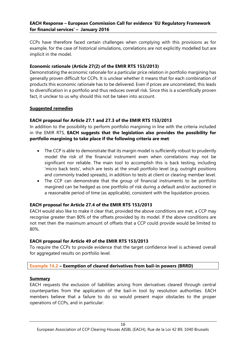CCPs have therefore faced certain challenges when complying with this provisions as for example, for the case of historical simulations, correlations are not explicitly modelled but are implicit in the model.

# **Economic rationale (Article 27(2) of the EMIR RTS 153/2013)**

Demonstrating the economic rationale for a particular price relation in portfolio margining has generally proven difficult for CCPs. It is unclear whether it means that for each combination of products this economic rationale has to be delivered. Even if prices are uncorrelated, this leads to diversification in a portfolio and thus reduces overall risk. Since this is a scientifically proven fact, it unclear to us why should this not be taken into account.

## **Suggested remedies**

# **EACH proposal for Article 27.1 and 27.3 of the EMIR RTS 153/2013**

In addition to the possibility to perform portfolio margining in line with the criteria included in the EMIR RTS, **EACH suggests that the legislation also provides the possibility for portfolio margining to take place if the following criteria are met**:

- The CCP is able to demonstrate that its margin model is sufficiently robust to prudently model the risk of the financial instrument even when correlations may not be significant nor reliable. The main tool to accomplish this is back testing, including 'micro back tests', which are tests at the small portfolio level (e.g. outright positions and commonly traded spreads), in addition to tests at client or clearing member level.
- The CCP can demonstrate that the group of financial instruments to be portfolio margined can be hedged as one portfolio of risk during a default and/or auctioned in a reasonable period of time (as applicable), consistent with the liquidation process.

# **EACH proposal for Article 27.4 of the EMIR RTS 153/2013**

EACH would also like to make it clear that, provided the above conditions are met, a CCP may recognise greater than 80% of the offsets provided by its model. If the above conditions are not met then the maximum amount of offsets that a CCP could provide would be limited to 80%.

#### **EACH proposal for Article 49 of the EMIR RTS 153/2013**

To require the CCPs to provide evidence that the target confidence level is achieved overall for aggregated results on portfolio level.

#### **Example 14.2 – Exemption of cleared derivatives from bail-in powers (BRRD)**

#### **Summary**

EACH requests the exclusion of liabilities arising from derivatives cleared through central counterparties from the application of the bail-in tool by resolution authorities. EACH members believe that a failure to do so would present major obstacles to the proper operations of CCPs, and in particular: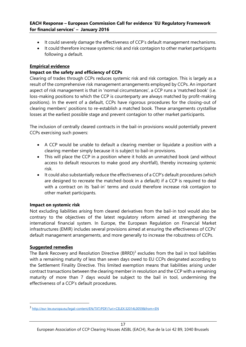- It could severely damage the effectiveness of CCP's default management mechanisms.
- It could therefore increase systemic risk and risk contagion to other market participants following a default.

# **Empirical evidence**

# **Impact on the safety and efficiency of CCPs**

Clearing of trades through CCPs reduces systemic risk and risk contagion. This is largely as a result of the comprehensive risk management arrangements employed by CCPs. An important aspect of risk management is that in 'normal circumstances', a CCP runs a 'matched book' (i.e. loss-making positions to which the CCP is counterparty are always matched by profit-making positions). In the event of a default, CCPs have rigorous procedures for the closing-out of clearing members' positions to re-establish a matched book. These arrangements crystallise losses at the earliest possible stage and prevent contagion to other market participants.

The inclusion of centrally cleared contracts in the bail-in provisions would potentially prevent CCPs exercising such powers:

- A CCP would be unable to default a clearing member or liquidate a position with a clearing member simply because it is subject to bail-in provisions.
- This will place the CCP in a position where it holds an unmatched book (and without access to default resources to make good any shortfall), thereby increasing systemic risk.
- It could also substantially reduce the effectiveness of a CCP's default procedures (which are designed to recreate the matched-book in a default) if a CCP is required to deal with a contract on its 'bail-in' terms and could therefore increase risk contagion to other market participants.

# **Impact on systemic risk**

Not excluding liabilities arising from cleared derivatives from the bail-in tool would also be contrary to the objectives of the latest regulatory reform aimed at strengthening the international financial system. In Europe, the European Regulation on Financial Market infrastructures (EMIR) includes several provisions aimed at ensuring the effectiveness of CCPs' default management arrangements, and more generally to increase the robustness of CCPs.

# **Suggested remedies**

**.** 

The Bank Recovery and Resolution Directive  $(BRRD)^3$  excludes from the bail in tool liabilities with a remaining maturity of less than seven days owed to EU CCPs designated according to the Settlement Finality Directive. This limited exemption means that liabilities arising under contract transactions between the clearing member in resolution and the CCP with a remaining maturity of more than 7 days would be subject to the bail in tool, undermining the effectiveness of a CCP's default procedures.

<sup>3</sup> <http://eur-lex.europa.eu/legal-content/EN/TXT/PDF/?uri=CELEX:32014L0059&from=EN>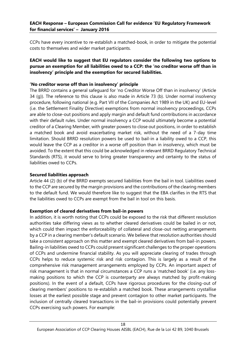CCPs have every incentive to re-establish a matched-book, in order to mitigate the potential costs to themselves and wider market participants.

# **EACH would like to suggest that EU regulators consider the following two options to pursue an exemption for all liabilities owed to a CCP: the 'no creditor worse off than in insolvency' principle and the exemption for secured liabilities.**

# **'No creditor worse off than in insolvency' principle**

The BRRD contains a general safeguard for 'no Creditor Worse Off than in insolvency' (Article 34 (g)). The reference to this clause is also made in Article 73 (b). Under normal insolvency procedure, following national (e.g. Part VII of the Companies Act 1989 in the UK) and EU-level (i.e. the Settlement Finality Directive) exemptions from normal insolvency proceedings, CCPs are able to close-out positions and apply margin and default fund contributions in accordance with their default rules. Under normal insolvency a CCP would ultimately become a potential creditor of a Clearing Member, with greater powers to close out positions, in order to establish a matched book and avoid exacerbating market risk, without the need of a 7-day time limitation. Should BRRD resolution powers be used to bail-in a liability owed to a CCP, this would leave the CCP as a creditor in a worse off position than in insolvency, which must be avoided. To the extent that this could be acknowledged in relevant BRRD Regulatory Technical Standards (RTS), it would serve to bring greater transparency and certainty to the status of liabilities owed to CCPs.

# **Secured liabilities approach**

Article 44 (2) (b) of the BRRD exempts secured liabilities from the bail in tool. Liabilities owed to the CCP are secured by the margin provisions and the contributions of the clearing members to the default fund. We would therefore like to suggest that the EBA clarifies in the RTS that the liabilities owed to CCPs are exempt from the bail in tool on this basis.

# **Exemption of cleared derivatives from bail-in powers**

In addition, it is worth noting that CCPs could be exposed to the risk that different resolution authorities take differing views as to whether cleared derivatives could be bailed in or not, which could then impact the enforceability of collateral and close-out netting arrangements by a CCP in a clearing member's default scenario. We believe that resolution authorities should take a consistent approach on this matter and exempt cleared derivatives from bail-in powers. Bailing-in liabilities owed to CCPs could present significant challenges to the proper operations of CCPs and undermine financial stability. As you will appreciate clearing of trades through CCPs helps to reduce systemic risk and risk contagion. This is largely as a result of the comprehensive risk management arrangements employed by CCPs. An important aspect of risk management is that in normal circumstances a CCP runs a 'matched book' (i.e. any lossmaking positions to which the CCP is counterparty are always matched by profit-making positions). In the event of a default, CCPs have rigorous procedures for the closing-out of clearing members' positions to re-establish a matched book. These arrangements crystallise losses at the earliest possible stage and prevent contagion to other market participants. The inclusion of centrally cleared transactions in the bail-in provisions could potentially prevent CCPs exercising such powers. For example: